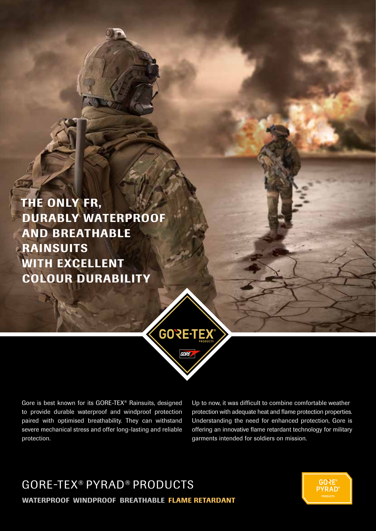THE ONLY FR, DURABLY WATERPROOF AND BREATHABLE RAINSUITS WITH EXCELLENT COLOUR DURABILITY



Gore is best known for its GORE-TEX® Rainsuits, designed to provide durable waterproof and windproof protection paired with optimised breathability. They can withstand severe mechanical stress and offer long-lasting and reliable protection.

Up to now, it was difficult to combine comfortable weather protection with adequate heat and flame protection properties. Understanding the need for enhanced protection, Gore is offering an innovative flame retardant technology for military garments intended for soldiers on mission.

# GORE-TEX® PYRAD® PRODUCTS WATERPROOF WINDPROOF BREATHABLE FLAME RETARDANT